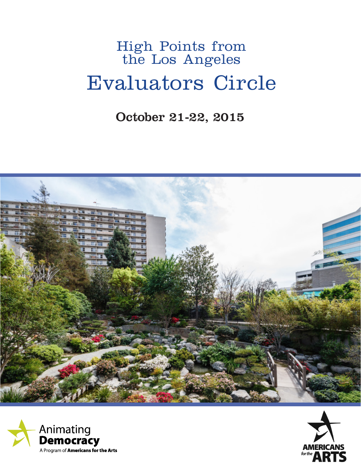## High Points from the Los Angeles Evaluators Circle

October 21-22, 2015





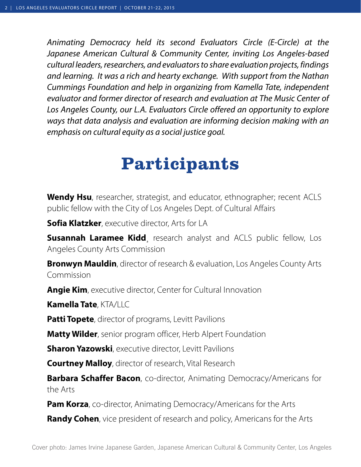*Animating Democracy held its second Evaluators Circle (E-Circle) at the Japanese American Cultural & Community Center, inviting Los Angeles-based cultural leaders, researchers, and evaluators to share evaluation projects, findings and learning. It was a rich and hearty exchange. With support from the Nathan Cummings Foundation and help in organizing from Kamella Tate, independent evaluator and former director of research and evaluation at The Music Center of Los Angeles County, our L.A. Evaluators Circle offered an opportunity to explore ways that data analysis and evaluation are informing decision making with an emphasis on cultural equity as a social justice goal.*

# **Participants**

**Wendy Hsu**, researcher, strategist, and educator, ethnographer; recent ACLS public fellow with the City of Los Angeles Dept. of Cultural Affairs

**Sofia Klatzker**, executive director, Arts for LA

**Susannah Laramee Kidd**, research analyst and ACLS public fellow, Los Angeles County Arts Commission

**Bronwyn Mauldin**, director of research & evaluation, Los Angeles County Arts Commission

**Angie Kim**, executive director, Center for Cultural Innovation

**Kamella Tate**, KTA/LLC

**Patti Topete**, director of programs, Levitt Pavilions

**Matty Wilder**, senior program officer, Herb Alpert Foundation

**Sharon Yazowski**, executive director, Levitt Pavilions

**Courtney Malloy**, director of research, Vital Research

**Barbara Schaffer Bacon**, co-director, Animating Democracy/Americans for the Arts

**Pam Korza**, co-director, Animating Democracy/Americans for the Arts

**Randy Cohen**, vice president of research and policy, Americans for the Arts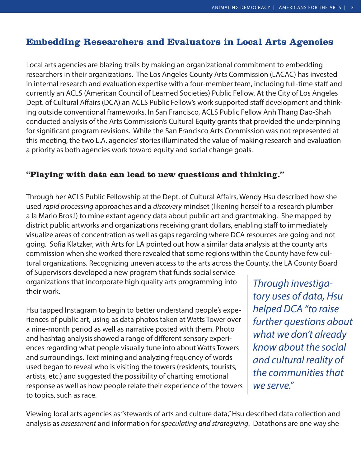## **Embedding Researchers and Evaluators in Local Arts Agencies**

Local arts agencies are blazing trails by making an organizational commitment to embedding researchers in their organizations. The Los Angeles County Arts Commission (LACAC) has invested in internal research and evaluation expertise with a four-member team, including full-time staff and currently an ACLS (American Council of Learned Societies) Public Fellow. At the City of Los Angeles Dept. of Cultural Affairs (DCA) an ACLS Public Fellow's work supported staff development and thinking outside conventional frameworks. In San Francisco, ACLS Public Fellow Anh Thang Dao-Shah conducted analysis of the Arts Commission's Cultural Equity grants that provided the underpinning for significant program revisions. While the San Francisco Arts Commission was not represented at this meeting, the two L.A. agencies' stories illuminated the value of making research and evaluation a priority as both agencies work toward equity and social change goals.

#### **"Playing with data can lead to new questions and thinking."**

Through her ACLS Public Fellowship at the Dept. of Cultural Affairs, Wendy Hsu described how she used *rapid processing* approaches and a *discovery* mindset (likening herself to a research plumber a la Mario Bros.!) to mine extant agency data about public art and grantmaking. She mapped by district public artworks and organizations receiving grant dollars, enabling staff to immediately visualize areas of concentration as well as gaps regarding where DCA resources are going and not going. Sofia Klatzker, with Arts for LA pointed out how a similar data analysis at the county arts commission when she worked there revealed that some regions within the County have few cultural organizations. Recognizing uneven access to the arts across the County, the LA County Board

of Supervisors developed a new program that funds social service organizations that incorporate high quality arts programming into their work.

Hsu tapped Instagram to begin to better understand people's experiences of public art, using as data photos taken at Watts Tower over a nine-month period as well as narrative posted with them. Photo and hashtag analysis showed a range of different sensory experiences regarding what people visually tune into about Watts Towers and surroundings. Text mining and analyzing frequency of words used began to reveal who is visiting the towers (residents, tourists, artists, etc.) and suggested the possibility of charting emotional response as well as how people relate their experience of the towers to topics, such as race.

*Through investigatory uses of data, Hsu helped DCA "to raise further questions about what we don't already know about the social and cultural reality of the communities that we serve."*

Viewing local arts agencies as "stewards of arts and culture data," Hsu described data collection and analysis as *assessment* and information for *speculating and strategizing*. Datathons are one way she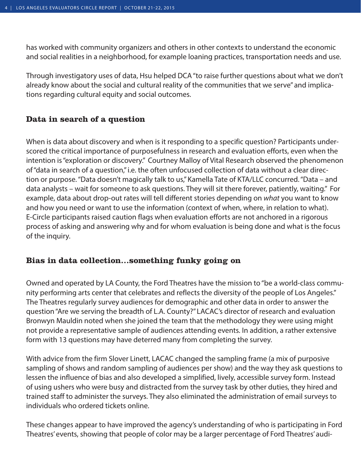has worked with community organizers and others in other contexts to understand the economic and social realities in a neighborhood, for example loaning practices, transportation needs and use.

Through investigatory uses of data, Hsu helped DCA "to raise further questions about what we don't already know about the social and cultural reality of the communities that we serve" and implications regarding cultural equity and social outcomes.

#### **Data in search of a question**

When is data about discovery and when is it responding to a specific question? Participants underscored the critical importance of purposefulness in research and evaluation efforts, even when the intention is "exploration or discovery." Courtney Malloy of Vital Research observed the phenomenon of "data in search of a question," i.e. the often unfocused collection of data without a clear direction or purpose. "Data doesn't magically talk to us," Kamella Tate of KTA/LLC concurred. "Data – and data analysts – wait for someone to ask questions. They will sit there forever, patiently, waiting." For example, data about drop-out rates will tell different stories depending on *what* you want to know and how you need or want to use the information (context of when, where, in relation to what). E-Circle participants raised caution flags when evaluation efforts are not anchored in a rigorous process of asking and answering why and for whom evaluation is being done and what is the focus of the inquiry.

#### **Bias in data collection…something funky going on**

Owned and operated by LA County, the Ford Theatres have the mission to "be a world-class community performing arts center that celebrates and reflects the diversity of the people of Los Angeles." The Theatres regularly survey audiences for demographic and other data in order to answer the question "Are we serving the breadth of L.A. County?" LACAC's director of research and evaluation Bronwyn Mauldin noted when she joined the team that the methodology they were using might not provide a representative sample of audiences attending events. In addition, a rather extensive form with 13 questions may have deterred many from completing the survey.

With advice from the firm Slover Linett, LACAC changed the sampling frame (a mix of purposive sampling of shows and random sampling of audiences per show) and the way they ask questions to lessen the influence of bias and also developed a simplified, lively, accessible survey form. Instead of using ushers who were busy and distracted from the survey task by other duties, they hired and trained staff to administer the surveys. They also eliminated the administration of email surveys to individuals who ordered tickets online.

These changes appear to have improved the agency's understanding of who is participating in Ford Theatres' events, showing that people of color may be a larger percentage of Ford Theatres' audi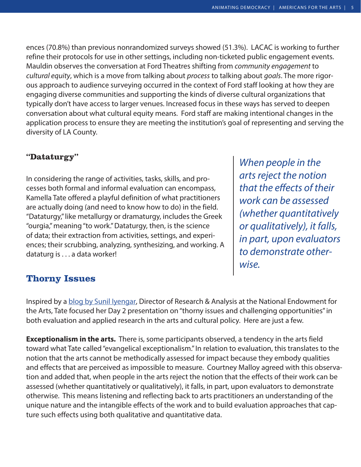ences (70.8%) than previous nonrandomized surveys showed (51.3%). LACAC is working to further refine their protocols for use in other settings, including non-ticketed public engagement events. Mauldin observes the conversation at Ford Theatres shifting from *community engagement* to *cultural equity*, which is a move from talking about *process* to talking about *goals*. The more rigorous approach to audience surveying occurred in the context of Ford staff looking at how they are engaging diverse communities and supporting the kinds of diverse cultural organizations that typically don't have access to larger venues. Increased focus in these ways has served to deepen conversation about what cultural equity means. Ford staff are making intentional changes in the application process to ensure they are meeting the institution's goal of representing and serving the diversity of LA County.

#### **"Dataturgy"**

In considering the range of activities, tasks, skills, and processes both formal and informal evaluation can encompass, Kamella Tate offered a playful definition of what practitioners are actually doing (and need to know how to do) in the field. "Dataturgy," like metallurgy or dramaturgy, includes the Greek "ourgia," meaning "to work." Dataturgy, then, is the science of data; their extraction from activities, settings, and experiences; their scrubbing, analyzing, synthesizing, and working. A dataturg is . . . a data worker!

*When people in the arts reject the notion that the effects of their work can be assessed (whether quantitatively or qualitatively), it falls, in part, upon evaluators to demonstrate otherwise.*

#### **Thorny Issues**

Inspired by a [blog by Sunil Iyengar,](https://www.arts.gov/art-works/2015/taking-note-even-if-you-first-succeed-try-again) Director of Research & Analysis at the National Endowment for the Arts, Tate focused her Day 2 presentation on "thorny issues and challenging opportunities" in both evaluation and applied research in the arts and cultural policy. Here are just a few.

**Exceptionalism in the arts.** There is, some participants observed, a tendency in the arts field toward what Tate called "evangelical exceptionalism." In relation to evaluation, this translates to the notion that the arts cannot be methodically assessed for impact because they embody qualities and effects that are perceived as impossible to measure. Courtney Malloy agreed with this observation and added that, when people in the arts reject the notion that the effects of their work can be assessed (whether quantitatively or qualitatively), it falls, in part, upon evaluators to demonstrate otherwise. This means listening and reflecting back to arts practitioners an understanding of the unique nature and the intangible effects of the work and to build evaluation approaches that capture such effects using both qualitative and quantitative data.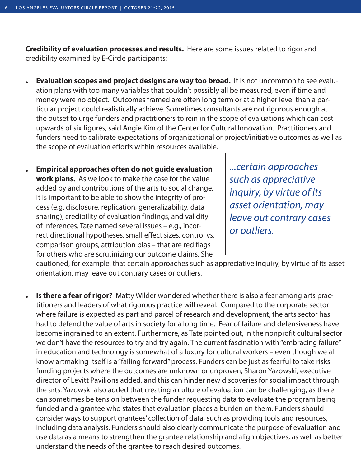**Credibility of evaluation processes and results.** Here are some issues related to rigor and credibility examined by E-Circle participants:

- **• Evaluation scopes and project designs are way too broad.** It is not uncommon to see evaluation plans with too many variables that couldn't possibly all be measured, even if time and money were no object. Outcomes framed are often long term or at a higher level than a particular project could realistically achieve. Sometimes consultants are not rigorous enough at the outset to urge funders and practitioners to rein in the scope of evaluations which can cost upwards of six figures, said Angie Kim of the Center for Cultural Innovation. Practitioners and funders need to calibrate expectations of organizational or project/initiative outcomes as well as the scope of evaluation efforts within resources available.
- **• Empirical approaches often do not guide evaluation work plans.** As we look to make the case for the value added by and contributions of the arts to social change, it is important to be able to show the integrity of process (e.g. disclosure, replication, generalizability, data sharing), credibility of evaluation findings, and validity of inferences. Tate named several issues – e.g., incorrect directional hypotheses, small effect sizes, control vs. comparison groups, attribution bias – that are red flags for others who are scrutinizing our outcome claims. She

*...certain approaches such as appreciative inquiry, by virtue of its asset orientation, may leave out contrary cases or outliers.*

cautioned, for example, that certain approaches such as appreciative inquiry, by virtue of its asset orientation, may leave out contrary cases or outliers.

**• Is there a fear of rigor?** Matty Wilder wondered whether there is also a fear among arts practitioners and leaders of what rigorous practice will reveal. Compared to the corporate sector where failure is expected as part and parcel of research and development, the arts sector has had to defend the value of arts in society for a long time. Fear of failure and defensiveness have become ingrained to an extent. Furthermore, as Tate pointed out, in the nonprofit cultural sector we don't have the resources to try and try again. The current fascination with "embracing failure" in education and technology is somewhat of a luxury for cultural workers – even though we all know artmaking itself is a "failing forward" process. Funders can be just as fearful to take risks funding projects where the outcomes are unknown or unproven, Sharon Yazowski, executive director of Levitt Pavilions added, and this can hinder new discoveries for social impact through the arts. Yazowski also added that creating a culture of evaluation can be challenging, as there can sometimes be tension between the funder requesting data to evaluate the program being funded and a grantee who states that evaluation places a burden on them. Funders should consider ways to support grantees' collection of data, such as providing tools and resources, including data analysis. Funders should also clearly communicate the purpose of evaluation and use data as a means to strengthen the grantee relationship and align objectives, as well as better understand the needs of the grantee to reach desired outcomes.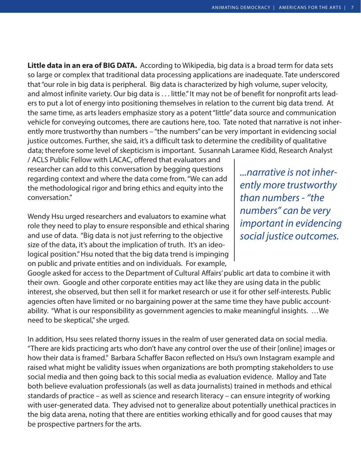**Little data in an era of BIG DATA.** According to Wikipedia, big data is a broad term for data sets so large or complex that traditional data processing applications are inadequate. Tate underscored that "our role in big data is peripheral. Big data is characterized by high volume, super velocity, and almost infinite variety. Our big data is . . . little." It may not be of benefit for nonprofit arts leaders to put a lot of energy into positioning themselves in relation to the current big data trend. At the same time, as arts leaders emphasize story as a potent "little" data source and communication vehicle for conveying outcomes, there are cautions here, too. Tate noted that narrative is not inherently more trustworthy than numbers – "the numbers" can be very important in evidencing social justice outcomes. Further, she said, it's a difficult task to determine the credibility of qualitative data; therefore some level of skepticism is important. Susannah Laramee Kidd, Research Analyst

/ ACLS Public Fellow with LACAC, offered that evaluators and researcher can add to this conversation by begging questions regarding context and where the data come from. "We can add the methodological rigor and bring ethics and equity into the conversation."

Wendy Hsu urged researchers and evaluators to examine what role they need to play to ensure responsible and ethical sharing and use of data. "Big data is not just referring to the objective size of the data, it's about the implication of truth. It's an ideological position." Hsu noted that the big data trend is impinging on public and private entities and on individuals. For example,

*...narrative is not inherently more trustworthy than numbers - "the numbers" can be very important in evidencing social justice outcomes.* 

Google asked for access to the Department of Cultural Affairs' public art data to combine it with their own. Google and other corporate entities may act like they are using data in the public interest, she observed, but then sell it for market research or use it for other self-interests. Public agencies often have limited or no bargaining power at the same time they have public accountability. "What is our responsibility as government agencies to make meaningful insights. …We need to be skeptical," she urged.

In addition, Hsu sees related thorny issues in the realm of user generated data on social media. "There are kids practicing arts who don't have any control over the use of their [online] images or how their data is framed." Barbara Schaffer Bacon reflected on Hsu's own Instagram example and raised what might be validity issues when organizations are both prompting stakeholders to use social media and then going back to this social media as evaluation evidence. Malloy and Tate both believe evaluation professionals (as well as data journalists) trained in methods and ethical standards of practice – as well as science and research literacy – can ensure integrity of working with user-generated data. They advised not to generalize about potentially unethical practices in the big data arena, noting that there are entities working ethically and for good causes that may be prospective partners for the arts.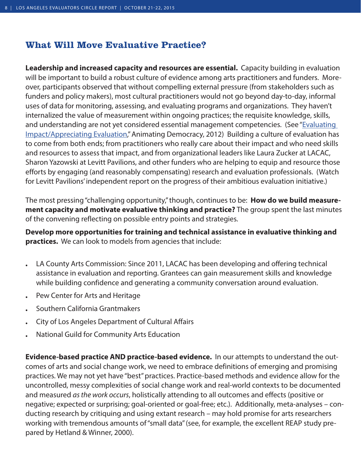## **What Will Move Evaluative Practice?**

**Leadership and increased capacity and resources are essential.** Capacity building in evaluation will be important to build a robust culture of evidence among arts practitioners and funders. Moreover, participants observed that without compelling external pressure (from stakeholders such as funders and policy makers), most cultural practitioners would not go beyond day-to-day, informal uses of data for monitoring, assessing, and evaluating programs and organizations. They haven't internalized the value of measurement within ongoing practices; the requisite knowledge, skills, and understanding are not yet considered essential management competencies. (See "[Evaluating](http://animatingdemocracy.org/sites/default/files/EvaluatingImpactAppreciatingEval_Trend_Paper.pdf)  [Impact/Appreciating Evaluation,](http://animatingdemocracy.org/sites/default/files/EvaluatingImpactAppreciatingEval_Trend_Paper.pdf)" Animating Democracy, 2012) Building a culture of evaluation has to come from both ends; from practitioners who really care about their impact and who need skills and resources to assess that impact, and from organizational leaders like Laura Zucker at LACAC, Sharon Yazowski at Levitt Pavilions, and other funders who are helping to equip and resource those efforts by engaging (and reasonably compensating) research and evaluation professionals. (Watch for Levitt Pavilions' independent report on the progress of their ambitious evaluation initiative.)

The most pressing "challenging opportunity," though, continues to be: **How do we build measurement capacity and motivate evaluative thinking and practice?** The group spent the last minutes of the convening reflecting on possible entry points and strategies.

**Develop more opportunities for training and technical assistance in evaluative thinking and practices.** We can look to models from agencies that include:

- LA County Arts Commission: Since 2011, LACAC has been developing and offering technical assistance in evaluation and reporting. Grantees can gain measurement skills and knowledge while building confidence and generating a community conversation around evaluation.
- Pew Center for Arts and Heritage
- Southern California Grantmakers
- City of Los Angeles Department of Cultural Affairs
- National Guild for Community Arts Education

**Evidence-based practice AND practice-based evidence.** In our attempts to understand the outcomes of arts and social change work, we need to embrace definitions of emerging and promising practices. We may not yet have "best" practices. Practice-based methods and evidence allow for the uncontrolled, messy complexities of social change work and real-world contexts to be documented and measured *as the work occurs*, holistically attending to all outcomes and effects (positive or negative; expected or surprising; goal-oriented or goal-free; etc.). Additionally, meta-analyses – conducting research by critiquing and using extant research – may hold promise for arts researchers working with tremendous amounts of "small data" (see, for example, the excellent REAP study prepared by Hetland & Winner, 2000).